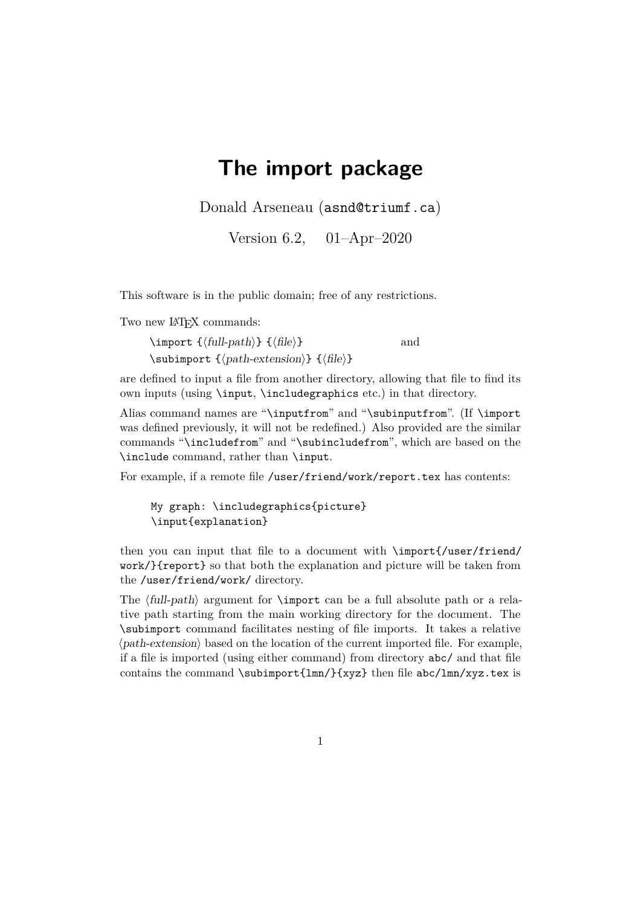## **The import package**

Donald Arseneau (asnd@triumf.ca)

Version 6.2, 01–Apr–2020

This software is in the public domain; free of any restrictions.

Two new IAT<sub>F</sub>X commands:

 $\langle \text{full-path} \rangle \{ \langle \text{file} \rangle \}$  and \subimport {〈path-extension〉} {〈file〉}

are defined to input a file from another directory, allowing that file to find its own inputs (using \input, \includegraphics etc.) in that directory.

Alias command names are "\inputfrom" and "\subinputfrom". (If \import was defined previously, it will not be redefined.) Also provided are the similar commands "\includefrom" and "\subincludefrom", which are based on the \include command, rather than \input.

For example, if a remote file /user/friend/work/report.tex has contents:

My graph: \includegraphics{picture} \input{explanation}

then you can input that file to a document with \import{/user/friend/ work/}{report} so that both the explanation and picture will be taken from the /user/friend/work/ directory.

The  $\langle full-path \rangle$  argument for **\import** can be a full absolute path or a relative path starting from the main working directory for the document. The \subimport command facilitates nesting of file imports. It takes a relative  $\langle$ *path-extension* $\rangle$  based on the location of the current imported file. For example, if a file is imported (using either command) from directory abc/ and that file contains the command \subimport{lmn/}{xyz} then file abc/lmn/xyz.tex is